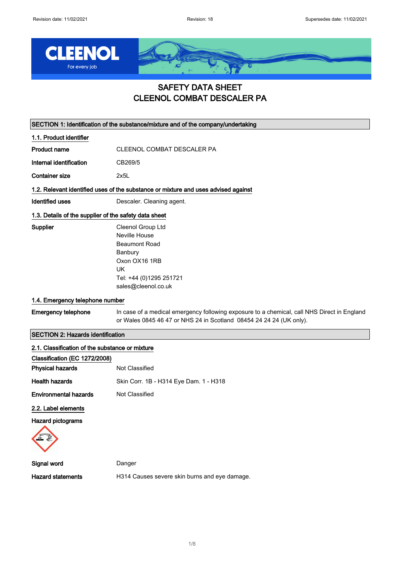

### SAFETY DATA SHEET CLEENOL COMBAT DESCALER PA

SECTION 1: Identification of the substance/mixture and of the company/undertaking

1.1. Product identifier

Product name CLEENOL COMBAT DESCALER PA

Internal identification CB269/5

Container size 2x5L

#### 1.2. Relevant identified uses of the substance or mixture and uses advised against

Identified uses **Descaler.** Cleaning agent.

#### 1.3. Details of the supplier of the safety data sheet

Supplier Cleenol Group Ltd Neville House Beaumont Road Banbury Oxon OX16 1RB UK Tel: +44 (0)1295 251721 sales@cleenol.co.uk

#### 1.4. Emergency telephone number

Emergency telephone In case of a medical emergency following exposure to a chemical, call NHS Direct in England or Wales 0845 46 47 or NHS 24 in Scotland 08454 24 24 24 (UK only).

#### SECTION 2: Hazards identification

| 2.1. Classification of the substance or mixture |                                               |
|-------------------------------------------------|-----------------------------------------------|
| Classification (EC 1272/2008)                   |                                               |
| <b>Physical hazards</b>                         | Not Classified                                |
| <b>Health hazards</b>                           | Skin Corr. 1B - H314 Eye Dam. 1 - H318        |
| <b>Environmental hazards</b>                    | Not Classified                                |
| 2.2. Label elements                             |                                               |
| Hazard pictograms                               |                                               |
| Signal word                                     | Danger                                        |
| <b>Hazard statements</b>                        | H314 Causes severe skin burns and eye damage. |
|                                                 |                                               |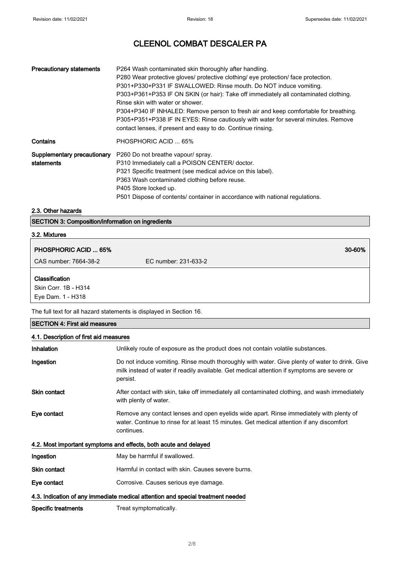| <b>Precautionary statements</b>           | P264 Wash contaminated skin thoroughly after handling.<br>P280 Wear protective gloves/ protective clothing/ eye protection/ face protection.<br>P301+P330+P331 IF SWALLOWED: Rinse mouth. Do NOT induce vomiting.<br>P303+P361+P353 IF ON SKIN (or hair): Take off immediately all contaminated clothing.<br>Rinse skin with water or shower.<br>P304+P340 IF INHALED: Remove person to fresh air and keep comfortable for breathing.<br>P305+P351+P338 IF IN EYES: Rinse cautiously with water for several minutes. Remove<br>contact lenses, if present and easy to do. Continue rinsing. |
|-------------------------------------------|---------------------------------------------------------------------------------------------------------------------------------------------------------------------------------------------------------------------------------------------------------------------------------------------------------------------------------------------------------------------------------------------------------------------------------------------------------------------------------------------------------------------------------------------------------------------------------------------|
| Contains                                  | PHOSPHORIC ACID  65%                                                                                                                                                                                                                                                                                                                                                                                                                                                                                                                                                                        |
| Supplementary precautionary<br>statements | P260 Do not breathe vapour/ spray.<br>P310 Immediately call a POISON CENTER/ doctor.<br>P321 Specific treatment (see medical advice on this label).<br>P363 Wash contaminated clothing before reuse.<br>P405 Store locked up.<br>P501 Dispose of contents/ container in accordance with national regulations.                                                                                                                                                                                                                                                                               |

#### 2.3. Other hazards

|  | <b>SECTION 3: Composition/information on ingredients</b> |  |
|--|----------------------------------------------------------|--|
|--|----------------------------------------------------------|--|

### 3.2. Mixtures

| <b>PHOSPHORIC ACID  65%</b>               | 30-60%               |
|-------------------------------------------|----------------------|
| CAS number: 7664-38-2                     | EC number: 231-633-2 |
| Classification                            |                      |
| Skin Corr. 1B - H314<br>Eye Dam. 1 - H318 |                      |

The full text for all hazard statements is displayed in Section 16.

| <b>SECTION 4: First aid measures</b>   |                                                                                                                                                                                                           |  |
|----------------------------------------|-----------------------------------------------------------------------------------------------------------------------------------------------------------------------------------------------------------|--|
| 4.1. Description of first aid measures |                                                                                                                                                                                                           |  |
| <b>Inhalation</b>                      | Unlikely route of exposure as the product does not contain volatile substances.                                                                                                                           |  |
| Ingestion                              | Do not induce vomiting. Rinse mouth thoroughly with water. Give plenty of water to drink. Give<br>milk instead of water if readily available. Get medical attention if symptoms are severe or<br>persist. |  |
| <b>Skin contact</b>                    | After contact with skin, take off immediately all contaminated clothing, and wash immediately<br>with plenty of water.                                                                                    |  |
| Eye contact                            | Remove any contact lenses and open eyelids wide apart. Rinse immediately with plenty of<br>water. Continue to rinse for at least 15 minutes. Get medical attention if any discomfort<br>continues.        |  |
|                                        | 4.2. Most important symptoms and effects, both acute and delayed                                                                                                                                          |  |
| Ingestion                              | May be harmful if swallowed.                                                                                                                                                                              |  |
| Skin contact                           | Harmful in contact with skin. Causes severe burns.                                                                                                                                                        |  |
| Eye contact                            | Corrosive. Causes serious eye damage.                                                                                                                                                                     |  |
|                                        | 4.3. Indication of any immediate medical attention and special treatment needed                                                                                                                           |  |
| Specific treatments                    | Treat symptomatically.                                                                                                                                                                                    |  |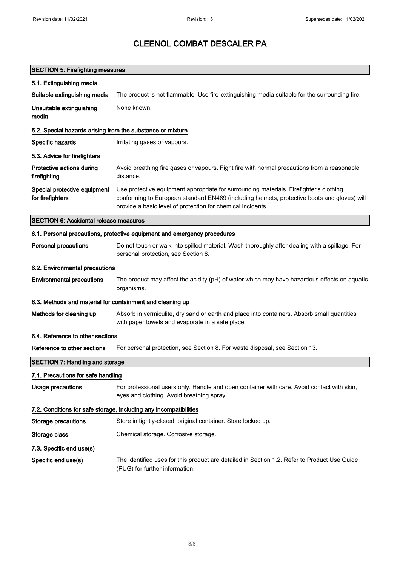### SECTION 5: Firefighting measures 5.1. Extinguishing media Suitable extinguishing media The product is not flammable. Use fire-extinguishing media suitable for the surrounding fire. Unsuitable extinguishing media None known. 5.2. Special hazards arising from the substance or mixture Specific hazards **I**rritating gases or vapours. 5.3. Advice for firefighters Protective actions during firefighting Avoid breathing fire gases or vapours. Fight fire with normal precautions from a reasonable distance. Special protective equipment for firefighters Use protective equipment appropriate for surrounding materials. Firefighter's clothing conforming to European standard EN469 (including helmets, protective boots and gloves) will provide a basic level of protection for chemical incidents. SECTION 6: Accidental release measures 6.1. Personal precautions, protective equipment and emergency procedures Personal precautions Do not touch or walk into spilled material. Wash thoroughly after dealing with a spillage. For personal protection, see Section 8. 6.2. Environmental precautions Environmental precautions The product may affect the acidity (pH) of water which may have hazardous effects on aquatic organisms. 6.3. Methods and material for containment and cleaning up Methods for cleaning up Absorb in vermiculite, dry sand or earth and place into containers. Absorb small quantities with paper towels and evaporate in a safe place. 6.4. Reference to other sections Reference to other sections For personal protection, see Section 8. For waste disposal, see Section 13. SECTION 7: Handling and storage 7.1. Precautions for safe handling Usage precautions For professional users only. Handle and open container with care. Avoid contact with skin, eyes and clothing. Avoid breathing spray. 7.2. Conditions for safe storage, including any incompatibilities Storage precautions Store in tightly-closed, original container. Store locked up. Storage class **Chemical storage.** Corrosive storage. 7.3. Specific end use(s) Specific end use(s) The identified uses for this product are detailed in Section 1.2. Refer to Product Use Guide (PUG) for further information.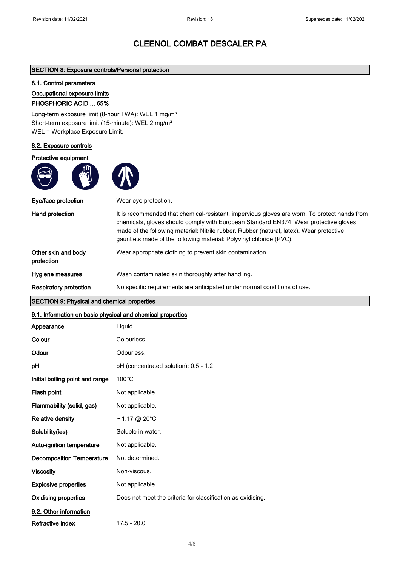#### SECTION 8: Exposure controls/Personal protection

#### 8.1. Control parameters

#### Occupational exposure limits

#### PHOSPHORIC ACID ... 65%

Long-term exposure limit (8-hour TWA): WEL 1 mg/m<sup>3</sup> Short-term exposure limit (15-minute): WEL 2 mg/m<sup>3</sup> WEL = Workplace Exposure Limit.

#### 8.2. Exposure controls

#### Protective equipment



| Eye/face protection               | Wear eye protection.                                                                                                                                                                                                                                                                                                                                    |
|-----------------------------------|---------------------------------------------------------------------------------------------------------------------------------------------------------------------------------------------------------------------------------------------------------------------------------------------------------------------------------------------------------|
| Hand protection                   | It is recommended that chemical-resistant, impervious gloves are worn. To protect hands from<br>chemicals, gloves should comply with European Standard EN374. Wear protective gloves<br>made of the following material: Nitrile rubber. Rubber (natural, latex). Wear protective<br>gauntlets made of the following material: Polyvinyl chloride (PVC). |
| Other skin and body<br>protection | Wear appropriate clothing to prevent skin contamination.                                                                                                                                                                                                                                                                                                |
| Hygiene measures                  | Wash contaminated skin thoroughly after handling.                                                                                                                                                                                                                                                                                                       |
| <b>Respiratory protection</b>     | No specific requirements are anticipated under normal conditions of use.                                                                                                                                                                                                                                                                                |

### SECTION 9: Physical and chemical properties

#### 9.1. Information on basic physical and chemical properties

| Appearance                       | Liquid.                                                     |
|----------------------------------|-------------------------------------------------------------|
| Colour                           | Colourless.                                                 |
| Odour                            | Odourless.                                                  |
| pH                               | pH (concentrated solution): 0.5 - 1.2                       |
| Initial boiling point and range  | $100^{\circ}$ C                                             |
| Flash point                      | Not applicable.                                             |
| Flammability (solid, gas)        | Not applicable.                                             |
| <b>Relative density</b>          | $\sim$ 1.17 @ 20°C                                          |
| Solubility(ies)                  | Soluble in water.                                           |
| Auto-ignition temperature        | Not applicable.                                             |
| <b>Decomposition Temperature</b> | Not determined.                                             |
| <b>Viscosity</b>                 | Non-viscous.                                                |
| <b>Explosive properties</b>      | Not applicable.                                             |
| <b>Oxidising properties</b>      | Does not meet the criteria for classification as oxidising. |
| 9.2. Other information           |                                                             |
| Refractive index                 | $17.5 - 20.0$                                               |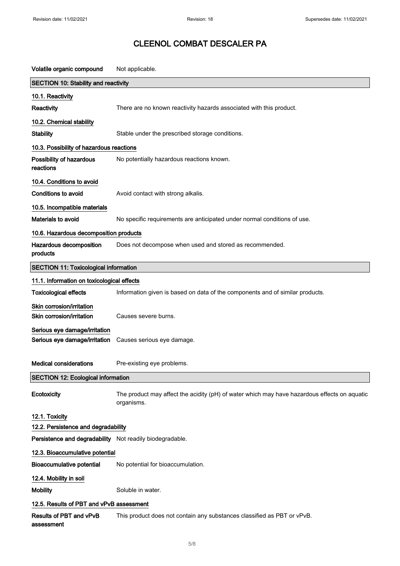Volatile organic compound Not applicable. SECTION 10: Stability and reactivity 10.1. Reactivity Reactivity **Reactivity** There are no known reactivity hazards associated with this product. 10.2. Chemical stability Stability Stable under the prescribed storage conditions. 10.3. Possibility of hazardous reactions Possibility of hazardous reactions No potentially hazardous reactions known. 10.4. Conditions to avoid Conditions to avoid **Avoid Contact with strong alkalis.** 10.5. Incompatible materials Materials to avoid **No specific requirements are anticipated under normal conditions of use.** 10.6. Hazardous decomposition products Hazardous decomposition products Does not decompose when used and stored as recommended. SECTION 11: Toxicological information 11.1. Information on toxicological effects Toxicological effects **Information given is based on data of the components and of similar products.** Skin corrosion/irritation Skin corrosion/irritation Causes severe burns. Serious eye damage/irritation Serious eye damage/irritation Causes serious eye damage. Medical considerations Pre-existing eye problems. SECTION 12: Ecological information Ecotoxicity The product may affect the acidity (pH) of water which may have hazardous effects on aquatic organisms. 12.1. Toxicity 12.2. Persistence and degradability Persistence and degradability Not readily biodegradable. 12.3. Bioaccumulative potential Bioaccumulative potential No potential for bioaccumulation. 12.4. Mobility in soil Mobility **Mobility** Soluble in water. 12.5. Results of PBT and vPvB assessment Results of PBT and vPvB assessment This product does not contain any substances classified as PBT or vPvB.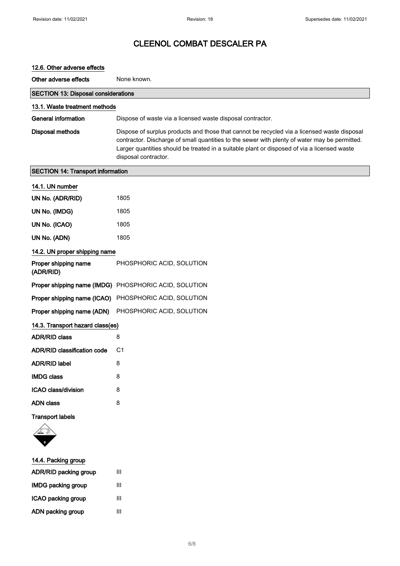| 12.6. Other adverse effects                |                                                                                                                                                                                                                                                                                                                     |
|--------------------------------------------|---------------------------------------------------------------------------------------------------------------------------------------------------------------------------------------------------------------------------------------------------------------------------------------------------------------------|
| Other adverse effects                      | None known.                                                                                                                                                                                                                                                                                                         |
| <b>SECTION 13: Disposal considerations</b> |                                                                                                                                                                                                                                                                                                                     |
| 13.1. Waste treatment methods              |                                                                                                                                                                                                                                                                                                                     |
| <b>General information</b>                 | Dispose of waste via a licensed waste disposal contractor.                                                                                                                                                                                                                                                          |
| <b>Disposal methods</b>                    | Dispose of surplus products and those that cannot be recycled via a licensed waste disposal<br>contractor. Discharge of small quantities to the sewer with plenty of water may be permitted.<br>Larger quantities should be treated in a suitable plant or disposed of via a licensed waste<br>disposal contractor. |
| <b>SECTION 14: Transport information</b>   |                                                                                                                                                                                                                                                                                                                     |
| 14.1. UN number                            |                                                                                                                                                                                                                                                                                                                     |
| UN No. (ADR/RID)                           | 1805                                                                                                                                                                                                                                                                                                                |
| UN No. (IMDG)                              | 1805                                                                                                                                                                                                                                                                                                                |
| UN No. (ICAO)                              | 1805                                                                                                                                                                                                                                                                                                                |
| UN No. (ADN)                               | 1805                                                                                                                                                                                                                                                                                                                |
| 14.2. UN proper shipping name              |                                                                                                                                                                                                                                                                                                                     |
| Proper shipping name<br>(ADR/RID)          | PHOSPHORIC ACID, SOLUTION                                                                                                                                                                                                                                                                                           |
|                                            | Proper shipping name (IMDG) PHOSPHORIC ACID, SOLUTION                                                                                                                                                                                                                                                               |
| Proper shipping name (ICAO)                | PHOSPHORIC ACID, SOLUTION                                                                                                                                                                                                                                                                                           |
| Proper shipping name (ADN)                 | PHOSPHORIC ACID, SOLUTION                                                                                                                                                                                                                                                                                           |
| 14.3. Transport hazard class(es)           |                                                                                                                                                                                                                                                                                                                     |
| <b>ADR/RID class</b>                       | 8                                                                                                                                                                                                                                                                                                                   |
| <b>ADR/RID classification code</b>         | C1                                                                                                                                                                                                                                                                                                                  |
| <b>ADR/RID label</b>                       | 8                                                                                                                                                                                                                                                                                                                   |
| <b>IMDG class</b>                          | 8                                                                                                                                                                                                                                                                                                                   |
| ICAO class/division                        | 8                                                                                                                                                                                                                                                                                                                   |
| <b>ADN</b> class                           | 8                                                                                                                                                                                                                                                                                                                   |
| <b>Transport labels</b>                    |                                                                                                                                                                                                                                                                                                                     |
| 14.4. Packing group                        |                                                                                                                                                                                                                                                                                                                     |
| ADR/RID packing group                      | Ш                                                                                                                                                                                                                                                                                                                   |

| <b>IMDG packing group</b> | Ш |
|---------------------------|---|
| ICAO packing group        | Ш |
| ADN packing group         | Ш |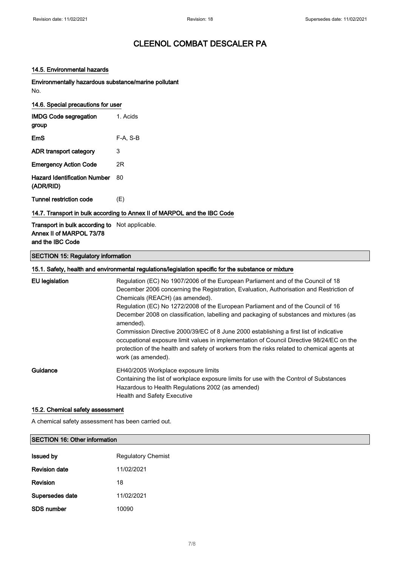#### 14.5. Environmental hazards

Environmentally hazardous substance/marine pollutant No.

| 14.6. Special precautions for user               |          |  |
|--------------------------------------------------|----------|--|
| <b>IMDG Code segregation</b><br>group            | 1. Acids |  |
| EmS                                              | F-A. S-B |  |
| ADR transport category                           | 3        |  |
| <b>Emergency Action Code</b>                     | 2R       |  |
| <b>Hazard Identification Number</b><br>(ADR/RID) | 80       |  |
| Tunnel restriction code                          | (E)      |  |

#### 14.7. Transport in bulk according to Annex II of MARPOL and the IBC Code

Transport in bulk according to Not applicable. Annex II of MARPOL 73/78 and the IBC Code

#### SECTION 15: Regulatory information

#### 15.1. Safety, health and environmental regulations/legislation specific for the substance or mixture

| <b>EU</b> legislation | Regulation (EC) No 1907/2006 of the European Parliament and of the Council of 18<br>December 2006 concerning the Registration, Evaluation, Authorisation and Restriction of<br>Chemicals (REACH) (as amended).<br>Regulation (EC) No 1272/2008 of the European Parliament and of the Council of 16<br>December 2008 on classification, labelling and packaging of substances and mixtures (as<br>amended).<br>Commission Directive 2000/39/EC of 8 June 2000 establishing a first list of indicative<br>occupational exposure limit values in implementation of Council Directive 98/24/EC on the<br>protection of the health and safety of workers from the risks related to chemical agents at<br>work (as amended). |
|-----------------------|------------------------------------------------------------------------------------------------------------------------------------------------------------------------------------------------------------------------------------------------------------------------------------------------------------------------------------------------------------------------------------------------------------------------------------------------------------------------------------------------------------------------------------------------------------------------------------------------------------------------------------------------------------------------------------------------------------------------|
| Guidance              | EH40/2005 Workplace exposure limits<br>Containing the list of workplace exposure limits for use with the Control of Substances<br>Hazardous to Health Regulations 2002 (as amended)<br><b>Health and Safety Executive</b>                                                                                                                                                                                                                                                                                                                                                                                                                                                                                              |

#### 15.2. Chemical safety assessment

A chemical safety assessment has been carried out.

# SECTION 16: Other information **Issued by Regulatory Chemist** Revision date 11/02/2021 Revision 18

| .               |            |
|-----------------|------------|
| Supersedes date | 11/02/2021 |
| SDS number      | 10090      |